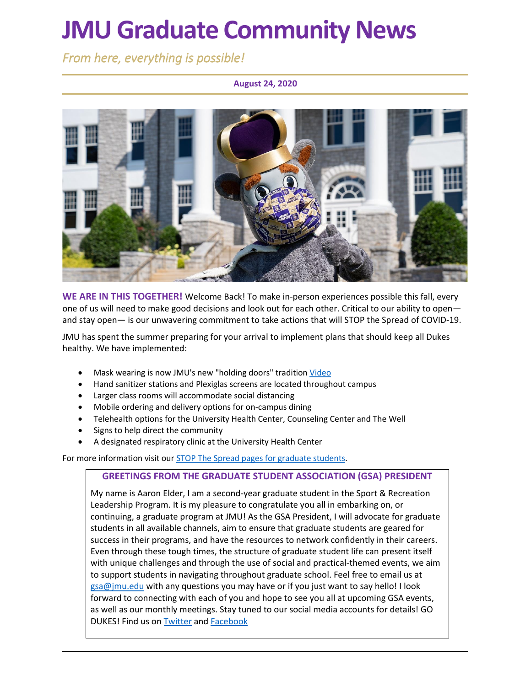# **JMU Graduate Community News**

*From here, everything is possible!* 

**August 24, 2020**



**WE ARE IN THIS TOGETHER!** Welcome Back! To make in-person experiences possible this fall, every one of us will need to make good decisions and look out for each other. Critical to our ability to open and stay open— is our unwavering commitment to take actions that will STOP the Spread of COVID-19.

JMU has spent the summer preparing for your arrival to implement plans that should keep all Dukes healthy. We have implemented:

- Mask wearing is now JMU's new "holding doors" tradition [Video](https://www.youtube.com/watch?v=rMTQNVtNrzM)
- Hand sanitizer stations and Plexiglas screens are located throughout campus
- Larger class rooms will accommodate social distancing
- Mobile ordering and delivery options for on-campus dining
- Telehealth options for the University Health Center, Counseling Center and The Well
- Signs to help direct the community
- A designated respiratory clinic at the University Health Center

For more information visit our [STOP The Spread pages for graduate students.](https://www.jmu.edu/grad/covid-19-announcements.shtml)

### **GREETINGS FROM THE GRADUATE STUDENT ASSOCIATION (GSA) PRESIDENT**

My name is Aaron Elder, I am a second-year graduate student in the Sport & Recreation Leadership Program. It is my pleasure to congratulate you all in embarking on, or continuing, a graduate program at JMU! As the GSA President, I will advocate for graduate students in all available channels, aim to ensure that graduate students are geared for success in their programs, and have the resources to network confidently in their careers. Even through these tough times, the structure of graduate student life can present itself with unique challenges and through the use of social and practical-themed events, we aim to support students in navigating throughout graduate school. Feel free to email us at [gsa@jmu.edu](mailto:gsa@jmu.edu) with any questions you may have or if you just want to say hello! I look forward to connecting with each of you and hope to see you all at upcoming GSA events, as well as our monthly meetings. Stay tuned to our social media accounts for details! GO DUKES! Find us o[n Twitter](https://twitter.com/jmugsa?lang=en) and [Facebook](https://www.facebook.com/JMUGSA/)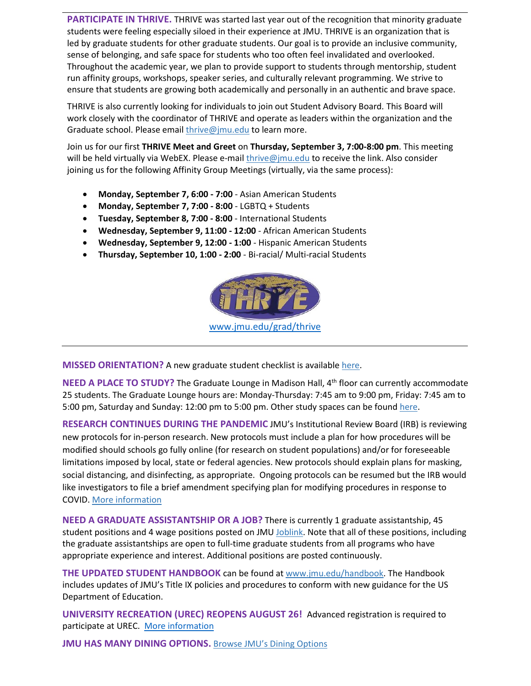**PARTICIPATE IN THRIVE.** THRIVE was started last year out of the recognition that minority graduate students were feeling especially siloed in their experience at JMU. THRIVE is an organization that is led by graduate students for other graduate students. Our goal is to provide an inclusive community, sense of belonging, and safe space for students who too often feel invalidated and overlooked. Throughout the academic year, we plan to provide support to students through mentorship, student run affinity groups, workshops, speaker series, and culturally relevant programming. We strive to ensure that students are growing both academically and personally in an authentic and brave space.

THRIVE is also currently looking for individuals to join out Student Advisory Board. This Board will work closely with the coordinator of THRIVE and operate as leaders within the organization and the Graduate school. Please email [thrive@jmu.edu](mailto:thrive@jmu.edu) to learn more.

Join us for our first **THRIVE Meet and Greet** on **Thursday, September 3, 7:00-8:00 pm**. This meeting will be held virtually via WebEX. Please e-mail [thrive@jmu.edu](mailto:thrive@jmu.edu) to receive the link. Also consider joining us for the following Affinity Group Meetings (virtually, via the same process):

- **Monday, September 7, 6:00 - 7:00** Asian American Students
- **Monday, September 7, 7:00 - 8:00** LGBTQ + Students
- **Tuesday, September 8, 7:00 - 8:00** International Students
- **Wednesday, September 9, 11:00 - 12:00** African American Students
- **Wednesday, September 9, 12:00 - 1:00** Hispanic American Students
- **Thursday, September 10, 1:00 - 2:00** Bi-racial/ Multi-racial Students



**MISSED ORIENTATION?** A new graduate student checklist is available [here.](https://www.jmu.edu/grad/current-students/orientation/new-student-checklist.shtml)

**NEED A PLACE TO STUDY?** The Graduate Lounge in Madison Hall, 4<sup>th</sup> floor can currently accommodate 25 students. The Graduate Lounge hours are: Monday-Thursday: 7:45 am to 9:00 pm, Friday: 7:45 am to 5:00 pm, Saturday and Sunday: 12:00 pm to 5:00 pm. Other study spaces can be found [here.](https://www.jmu.edu/academic-affairs/covid/study.shtml)

**RESEARCH CONTINUES DURING THE PANDEMIC** JMU's Institutional Review Board (IRB) is reviewing new protocols for in-person research. New protocols must include a plan for how procedures will be modified should schools go fully online (for research on student populations) and/or for foreseeable limitations imposed by local, state or federal agencies. New protocols should explain plans for masking, social distancing, and disinfecting, as appropriate. Ongoing protocols can be resumed but the IRB would like investigators to file a brief amendment specifying plan for modifying procedures in response to COVID. [More information](https://www.jmu.edu/researchintegrity/irb/covid-19.shtml)

**NEED A GRADUATE ASSISTANTSHIP OR A JOB?** There is currently 1 graduate assistantship, 45 student positions and 4 wage positions posted on JMU [Joblink.](https://joblink.jmu.edu/?_ga=2.134911537.1575284219.1597606930-920476218.1518451077) Note that all of these positions, including the graduate assistantships are open to full-time graduate students from all programs who have appropriate experience and interest. Additional positions are posted continuously.

**THE UPDATED STUDENT HANDBOOK** can be found at [www.jmu.edu/handbook.](http://www.jmu.edu/handbook) The Handbook includes updates of JMU's Title IX policies and procedures to conform with new guidance for the US Department of Education.

**UNIVERSITY RECREATION (UREC) REOPENS AUGUST 26!** Advanced registration is required to participate at UREC. [More information](https://www.jmu.edu/recreation/index.shtml)

**JMU HAS MANY DINING OPTIONS.** [Browse JMU's Dining Options](https://jmu.campusdish.com/)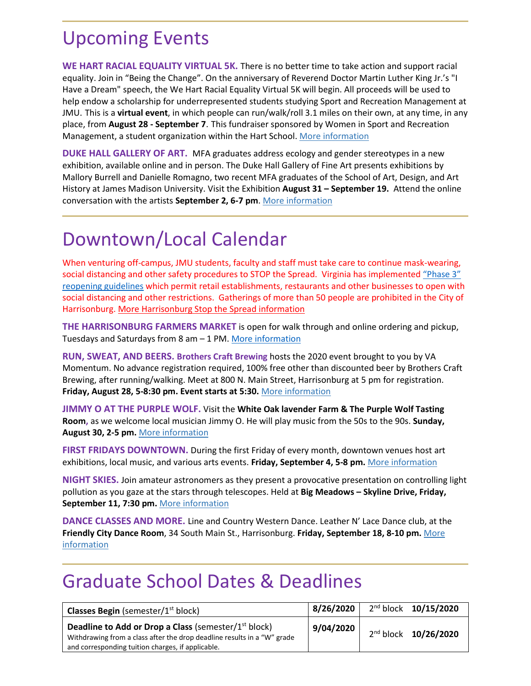### Upcoming Events

**WE HART RACIAL EQUALITY VIRTUAL 5K.** There is no better time to take action and support racial equality. Join in "Being the Change". On the anniversary of Reverend Doctor Martin Luther King Jr.'s "I Have a Dream" speech, the We Hart Racial Equality Virtual 5K will begin. All proceeds will be used to help endow a scholarship for underrepresented students studying Sport and Recreation Management at JMU. This is a **virtual event**, in which people can run/walk/roll 3.1 miles on their own, at any time, in any place, from **August 28 - September 7**. This fundraiser sponsored by Women in Sport and Recreation Management, a student organization within the Hart School. [More information](https://runsignup.com/Race/VA/Harrisonburg/WeHartRacialEquality5K)

**DUKE HALL GALLERY OF ART.** MFA graduates address ecology and gender stereotypes in a new exhibition, available online and in person. The Duke Hall Gallery of Fine Art presents exhibitions by Mallory Burrell and Danielle Romagno, two recent MFA graduates of the School of Art, Design, and Art History at James Madison University. Visit the Exhibition **August 31 – September 19.** Attend the online conversation with the artists **September 2, 6-7 pm**. [More information](https://www.jmu.edu/dukehallgallery/exhibitions-past-2020-2021/mfa2020.shtml)

## Downtown/Local Calendar

When venturing off-campus, JMU students, faculty and staff must take care to continue mask-wearing, social distancing and other safety procedures to STOP the Spread. Virginia has implemented "Phase 3" [reopening guidelines](https://www.governor.virginia.gov/media/governorvirginiagov/governor-of-virginia/pdf/Forward-Virginia-Phase-Three-Guidelines.pdf) which permit retail establishments, restaurants and other businesses to open with social distancing and other restrictions. Gatherings of more than 50 people are prohibited in the City of Harrisonburg. [More Harrisonburg Stop the Spread information](https://www.harrisonburgva.gov/novel-coronavirus) 

**THE HARRISONBURG FARMERS MARKET** is open for walk through and online ordering and pickup, Tuesdays and Saturdays from 8 am – 1 PM. [More information](https://www.harrisonburgfarmersmarket.com/)

**RUN, SWEAT, AND BEERS. Brothers Craft Brewing** hosts the 2020 event brought to you by VA Momentum. No advance registration required, 100% free other than discounted beer by Brothers Craft Brewing, after running/walking. Meet at 800 N. Main Street, Harrisonburg at 5 pm for registration. **Friday, August 28, 5-8:30 pm. Event starts at 5:30.** [More information](https://www.visitharrisonburgva.com/event/run-sweat-beers/)

**JIMMY O AT THE PURPLE WOLF.** Visit the **White Oak lavender Farm & The Purple Wolf Tasting Room,** as we welcome local musician Jimmy O. He will play music from the 50s to the 90s. **Sunday, August 30, 2-5 pm.** [More information](https://www.whiteoaklavender.com/Events/Music)

**FIRST FRIDAYS DOWNTOWN.** During the first Friday of every month, downtown venues host art exhibitions, local music, and various arts events. **Friday, September 4, 5-8 pm.** [More information](https://www.visitharrisonburgva.com/event/first-fridays-downtown-5/)

**NIGHT SKIES.** Join amateur astronomers as they present a provocative presentation on controlling light pollution as you gaze at the stars through telescopes. Held at **Big Meadows – Skyline Drive, Friday, September 11, 7:30 pm.** [More information](https://www.goshenandoah.com/activities-events/astronomy/night-skies)

**DANCE CLASSES AND MORE.** Line and Country Western Dance. Leather N' Lace Dance club, at the **Friendly City Dance Room**, 34 South Main St., Harrisonburg. **Friday, September 18, 8-10 pm.** [More](https://www.friendlycitydanceroom.com/?fbclid=IwAR3BwBiZH2pSgkqsCMoOYdmQ_e31dq4AAT_tW8FAAIEQ7sk_xwBMUcfVues)  [information](https://www.friendlycitydanceroom.com/?fbclid=IwAR3BwBiZH2pSgkqsCMoOYdmQ_e31dq4AAT_tW8FAAIEQ7sk_xwBMUcfVues)

### Graduate School Dates & Deadlines

| <b>Classes Begin</b> (semester/ $1st$ block)                                                                                                                                                | 8/26/2020 | 2 <sup>nd</sup> block 10/15/2020 |
|---------------------------------------------------------------------------------------------------------------------------------------------------------------------------------------------|-----------|----------------------------------|
| <b>Deadline to Add or Drop a Class (semester/1st block)</b><br>Withdrawing from a class after the drop deadline results in a "W" grade<br>and corresponding tuition charges, if applicable. | 9/04/2020 | 2 <sup>nd</sup> block 10/26/2020 |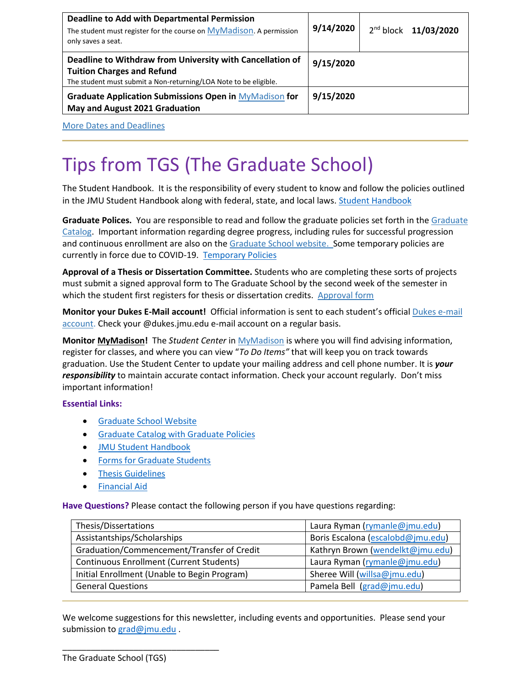| <b>Deadline to Add with Departmental Permission</b><br>The student must register for the course on MyMadison. A permission<br>only saves a seat.                   | 9/14/2020 | 2nd block 11/03/2020 |
|--------------------------------------------------------------------------------------------------------------------------------------------------------------------|-----------|----------------------|
| Deadline to Withdraw from University with Cancellation of<br><b>Tuition Charges and Refund</b><br>The student must submit a Non-returning/LOA Note to be eligible. | 9/15/2020 |                      |
| Graduate Application Submissions Open in MyMadison for<br>May and August 2021 Graduation                                                                           | 9/15/2020 |                      |

[More Dates and Deadlines](https://www.jmu.edu/grad/grad-community/index.shtml)

# Tips from TGS (The Graduate School)

The Student Handbook. It is the responsibility of every student to know and follow the policies outlined in the JMU Student Handbook along with federal, state, and local laws. [Student Handbook](https://www.jmu.edu/osarp/handbook/index.shtml)

**Graduate Polices.** You are responsible to read and follow the graduate policies set forth in th[e Graduate](http://jmu.edu/catalog)  [Catalog.](http://jmu.edu/catalog) Important information regarding degree progress, including rules for successful progression and continuous enrollment are also on the [Graduate School website.](http://www.jmu.edu/grad/current-students/degree-progress/beginning.shtml) Some temporary policies are currently in force due to COVID-19. [Temporary Policies](https://www.jmu.edu/grad/temporary-graduate-school-policies.shtml)

**Approval of a Thesis or Dissertation Committee.** Students who are completing these sorts of projects must submit a signed approval form to The Graduate School by the second week of the semester in which the student first registers for thesis or dissertation credits. [Approval form](https://www.jmu.edu/grad/_files/CommitteeApprovalForm2017-18.pdf)

**Monitor your Dukes E-Mail account!** Official information is sent to each student's officia[l Dukes e-mail](http://www.jmu.edu/computing/helpdesk/selfhelp/DukesEmail.shtml)  [account.](http://www.jmu.edu/computing/helpdesk/selfhelp/DukesEmail.shtml) Check your @dukes.jmu.edu e-mail account on a regular basis.

**Monitor [MyMadison!](http://mymadison.jmu.edu/)** The *Student Center* i[n MyMadison](http://mymadison.jmu.edu/) is where you will find advising information, register for classes, and where you can view "*To Do Items"* that will keep you on track towards graduation. Use the Student Center to update your mailing address and cell phone number. It is *your responsibility* to maintain accurate contact information. Check your account regularly. Don't miss important information!

#### **Essential Links:**

- [Graduate School Website](http://www.jmu.edu/grad)
- [Graduate Catalog with Graduate Policies](http://www.jmu.edu/catalog/index.shtml)
- [JMU Student Handbook](https://www.jmu.edu/osarp/handbook/index.shtml)
- **•** [Forms for Graduate Students](http://www.jmu.edu/grad/current-students/graduate-forms.shtml)
- **•** [Thesis Guidelines](http://www.jmu.edu/grad/current-students/thesis-dissertation/information.shtml)
- [Financial Aid](http://www.jmu.edu/finaid/sap.shtml)

**Have Questions?** Please contact the following person if you have questions regarding:

| Thesis/Dissertations                            | Laura Ryman (rymanle@jmu.edu)     |  |
|-------------------------------------------------|-----------------------------------|--|
| Assistantships/Scholarships                     | Boris Escalona (escalobd@jmu.edu) |  |
| Graduation/Commencement/Transfer of Credit      | Kathryn Brown (wendelkt@jmu.edu)  |  |
| <b>Continuous Enrollment (Current Students)</b> | Laura Ryman (rymanle@jmu.edu)     |  |
| Initial Enrollment (Unable to Begin Program)    | Sheree Will (willsa@jmu.edu)      |  |
| <b>General Questions</b>                        | Pamela Bell (grad@jmu.edu)        |  |

We welcome suggestions for this newsletter, including events and opportunities. Please send your submission to [grad@jmu.edu](mailto:grad@jmu.edu).

\_\_\_\_\_\_\_\_\_\_\_\_\_\_\_\_\_\_\_\_\_\_\_\_\_\_\_\_\_\_\_\_\_